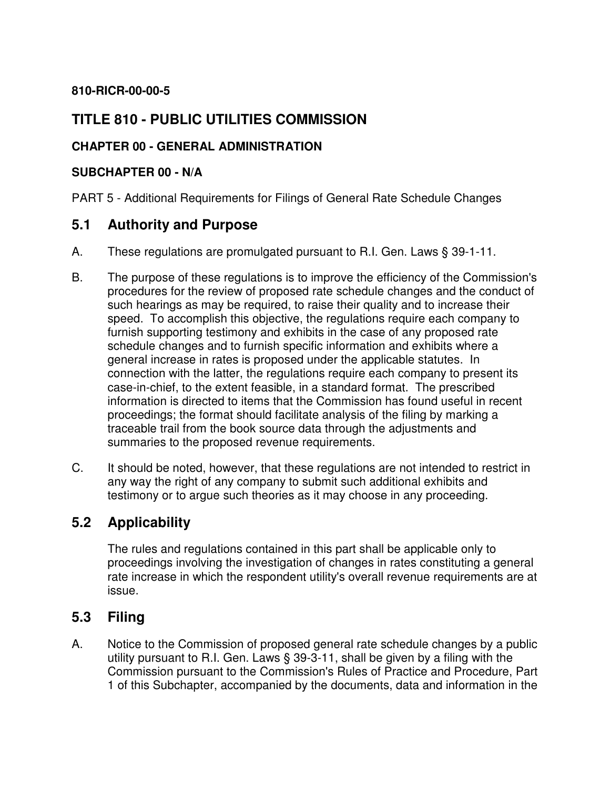#### **810-RICR-00-00-5**

# **TITLE 810 - PUBLIC UTILITIES COMMISSION**

#### **CHAPTER 00 - GENERAL ADMINISTRATION**

#### **SUBCHAPTER 00 - N/A**

PART 5 - Additional Requirements for Filings of General Rate Schedule Changes

### **5.1 Authority and Purpose**

- A. These regulations are promulgated pursuant to R.I. Gen. Laws § 39-1-11.
- B. The purpose of these regulations is to improve the efficiency of the Commission's procedures for the review of proposed rate schedule changes and the conduct of such hearings as may be required, to raise their quality and to increase their speed. To accomplish this objective, the regulations require each company to furnish supporting testimony and exhibits in the case of any proposed rate schedule changes and to furnish specific information and exhibits where a general increase in rates is proposed under the applicable statutes. In connection with the latter, the regulations require each company to present its case-in-chief, to the extent feasible, in a standard format. The prescribed information is directed to items that the Commission has found useful in recent proceedings; the format should facilitate analysis of the filing by marking a traceable trail from the book source data through the adjustments and summaries to the proposed revenue requirements.
- C. It should be noted, however, that these regulations are not intended to restrict in any way the right of any company to submit such additional exhibits and testimony or to argue such theories as it may choose in any proceeding.

# **5.2 Applicability**

 The rules and regulations contained in this part shall be applicable only to proceedings involving the investigation of changes in rates constituting a general rate increase in which the respondent utility's overall revenue requirements are at issue.

#### **5.3 Filing**

A. Notice to the Commission of proposed general rate schedule changes by a public utility pursuant to R.I. Gen. Laws § 39-3-11, shall be given by a filing with the Commission pursuant to the Commission's Rules of Practice and Procedure, Part 1 of this Subchapter, accompanied by the documents, data and information in the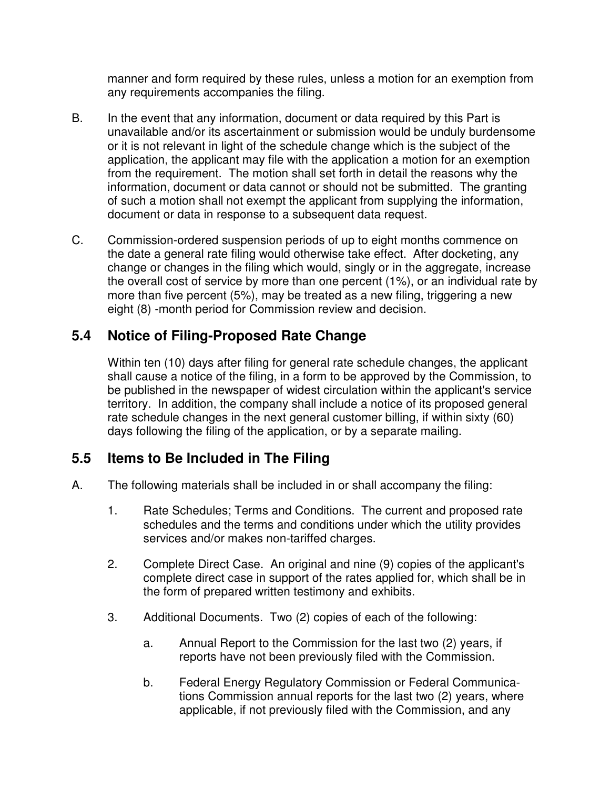manner and form required by these rules, unless a motion for an exemption from any requirements accompanies the filing.

- B. In the event that any information, document or data required by this Part is unavailable and/or its ascertainment or submission would be unduly burdensome or it is not relevant in light of the schedule change which is the subject of the application, the applicant may file with the application a motion for an exemption from the requirement. The motion shall set forth in detail the reasons why the information, document or data cannot or should not be submitted. The granting of such a motion shall not exempt the applicant from supplying the information, document or data in response to a subsequent data request.
- C. Commission-ordered suspension periods of up to eight months commence on the date a general rate filing would otherwise take effect. After docketing, any change or changes in the filing which would, singly or in the aggregate, increase the overall cost of service by more than one percent (1%), or an individual rate by more than five percent (5%), may be treated as a new filing, triggering a new eight (8) -month period for Commission review and decision.

# **5.4 Notice of Filing-Proposed Rate Change**

 Within ten (10) days after filing for general rate schedule changes, the applicant shall cause a notice of the filing, in a form to be approved by the Commission, to be published in the newspaper of widest circulation within the applicant's service territory. In addition, the company shall include a notice of its proposed general rate schedule changes in the next general customer billing, if within sixty (60) days following the filing of the application, or by a separate mailing.

# **5.5 Items to Be Included in The Filing**

- A. The following materials shall be included in or shall accompany the filing:
	- 1. Rate Schedules; Terms and Conditions. The current and proposed rate schedules and the terms and conditions under which the utility provides services and/or makes non-tariffed charges.
	- 2. Complete Direct Case. An original and nine (9) copies of the applicant's complete direct case in support of the rates applied for, which shall be in the form of prepared written testimony and exhibits.
	- 3. Additional Documents. Two (2) copies of each of the following:
		- a. Annual Report to the Commission for the last two (2) years, if reports have not been previously filed with the Commission.
		- b. Federal Energy Regulatory Commission or Federal Communications Commission annual reports for the last two (2) years, where applicable, if not previously filed with the Commission, and any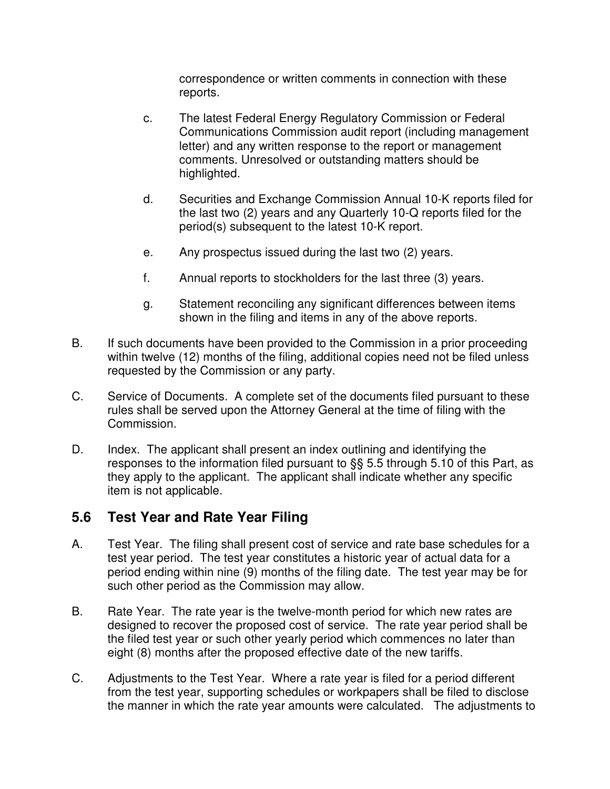correspondence or written comments in connection with these reports.

- c. The latest Federal Energy Regulatory Commission or Federal Communications Commission audit report (including management letter) and any written response to the report or management comments. Unresolved or outstanding matters should be highlighted.
- d. Securities and Exchange Commission Annual 10-K reports filed for the last two (2) years and any Quarterly 10-Q reports filed for the period(s) subsequent to the latest 10-K report.
- e. Any prospectus issued during the last two (2) years.
- f. Annual reports to stockholders for the last three (3) years.
- g. Statement reconciling any significant differences between items shown in the filing and items in any of the above reports.
- B. If such documents have been provided to the Commission in a prior proceeding within twelve (12) months of the filing, additional copies need not be filed unless requested by the Commission or any party.
- C. Service of Documents. A complete set of the documents filed pursuant to these rules shall be served upon the Attorney General at the time of filing with the Commission.
- D. Index. The applicant shall present an index outlining and identifying the responses to the information filed pursuant to §§ 5.5 through 5.10 of this Part, as they apply to the applicant. The applicant shall indicate whether any specific item is not applicable.

# **5.6 Test Year and Rate Year Filing**

- A. Test Year. The filing shall present cost of service and rate base schedules for a test year period. The test year constitutes a historic year of actual data for a period ending within nine (9) months of the filing date. The test year may be for such other period as the Commission may allow.
- B. Rate Year. The rate year is the twelve-month period for which new rates are designed to recover the proposed cost of service. The rate year period shall be the filed test year or such other yearly period which commences no later than eight (8) months after the proposed effective date of the new tariffs.
- C. Adjustments to the Test Year. Where a rate year is filed for a period different from the test year, supporting schedules or workpapers shall be filed to disclose the manner in which the rate year amounts were calculated. The adjustments to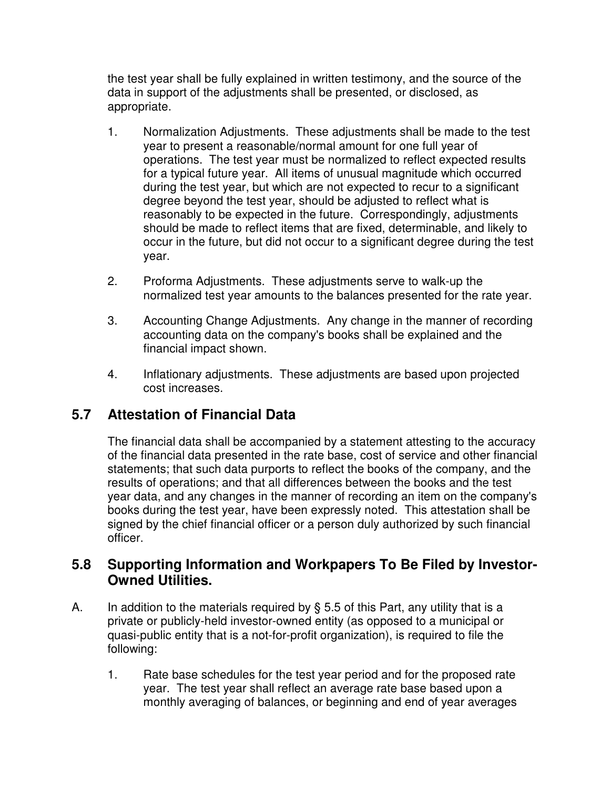the test year shall be fully explained in written testimony, and the source of the data in support of the adjustments shall be presented, or disclosed, as appropriate.

- 1. Normalization Adjustments. These adjustments shall be made to the test year to present a reasonable/normal amount for one full year of operations. The test year must be normalized to reflect expected results for a typical future year. All items of unusual magnitude which occurred during the test year, but which are not expected to recur to a significant degree beyond the test year, should be adjusted to reflect what is reasonably to be expected in the future. Correspondingly, adjustments should be made to reflect items that are fixed, determinable, and likely to occur in the future, but did not occur to a significant degree during the test year.
- 2. Proforma Adjustments. These adjustments serve to walk-up the normalized test year amounts to the balances presented for the rate year.
- 3. Accounting Change Adjustments. Any change in the manner of recording accounting data on the company's books shall be explained and the financial impact shown.
- 4. Inflationary adjustments. These adjustments are based upon projected cost increases.

# **5.7 Attestation of Financial Data**

 The financial data shall be accompanied by a statement attesting to the accuracy of the financial data presented in the rate base, cost of service and other financial statements; that such data purports to reflect the books of the company, and the results of operations; and that all differences between the books and the test year data, and any changes in the manner of recording an item on the company's books during the test year, have been expressly noted. This attestation shall be signed by the chief financial officer or a person duly authorized by such financial officer.

# **5.8 Supporting Information and Workpapers To Be Filed by Investor-Owned Utilities.**

- A. In addition to the materials required by  $\S$  5.5 of this Part, any utility that is a private or publicly-held investor-owned entity (as opposed to a municipal or quasi-public entity that is a not-for-profit organization), is required to file the following:
	- 1. Rate base schedules for the test year period and for the proposed rate year. The test year shall reflect an average rate base based upon a monthly averaging of balances, or beginning and end of year averages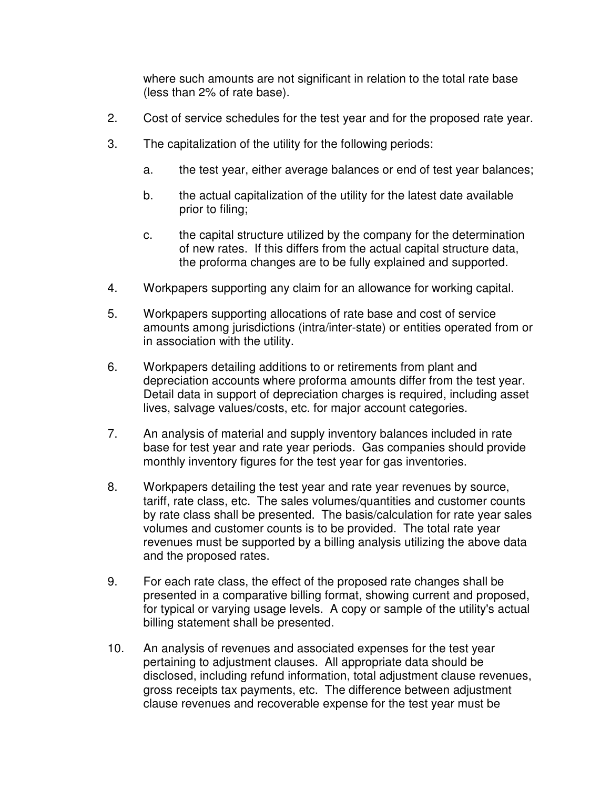where such amounts are not significant in relation to the total rate base (less than 2% of rate base).

- 2. Cost of service schedules for the test year and for the proposed rate year.
- 3. The capitalization of the utility for the following periods:
	- a. the test year, either average balances or end of test year balances;
	- b. the actual capitalization of the utility for the latest date available prior to filing;
	- c. the capital structure utilized by the company for the determination of new rates. If this differs from the actual capital structure data, the proforma changes are to be fully explained and supported.
- 4. Workpapers supporting any claim for an allowance for working capital.
- 5. Workpapers supporting allocations of rate base and cost of service amounts among jurisdictions (intra/inter-state) or entities operated from or in association with the utility.
- 6. Workpapers detailing additions to or retirements from plant and depreciation accounts where proforma amounts differ from the test year. Detail data in support of depreciation charges is required, including asset lives, salvage values/costs, etc. for major account categories.
- 7. An analysis of material and supply inventory balances included in rate base for test year and rate year periods. Gas companies should provide monthly inventory figures for the test year for gas inventories.
- 8. Workpapers detailing the test year and rate year revenues by source, tariff, rate class, etc. The sales volumes/quantities and customer counts by rate class shall be presented. The basis/calculation for rate year sales volumes and customer counts is to be provided. The total rate year revenues must be supported by a billing analysis utilizing the above data and the proposed rates.
- 9. For each rate class, the effect of the proposed rate changes shall be presented in a comparative billing format, showing current and proposed, for typical or varying usage levels. A copy or sample of the utility's actual billing statement shall be presented.
- 10. An analysis of revenues and associated expenses for the test year pertaining to adjustment clauses. All appropriate data should be disclosed, including refund information, total adjustment clause revenues, gross receipts tax payments, etc. The difference between adjustment clause revenues and recoverable expense for the test year must be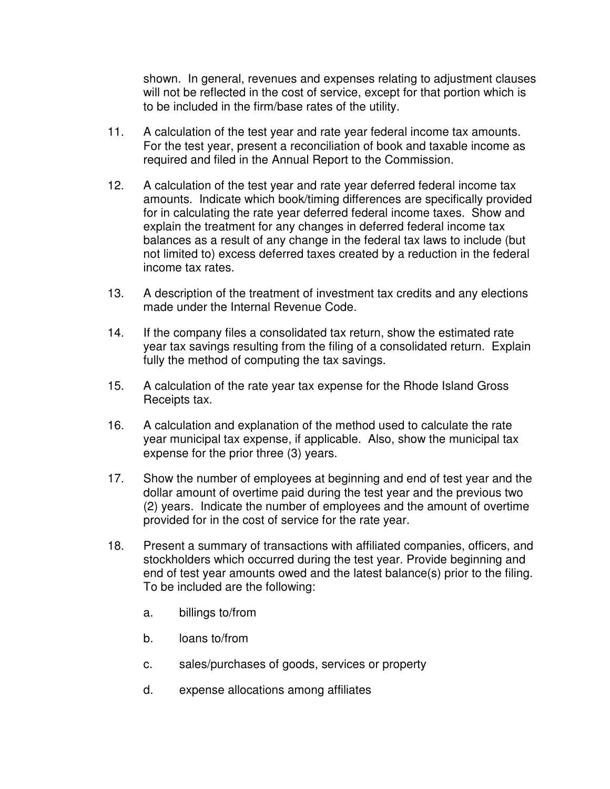shown. In general, revenues and expenses relating to adjustment clauses will not be reflected in the cost of service, except for that portion which is to be included in the firm/base rates of the utility.

- 11. A calculation of the test year and rate year federal income tax amounts. For the test year, present a reconciliation of book and taxable income as required and filed in the Annual Report to the Commission.
- 12. A calculation of the test year and rate year deferred federal income tax amounts. Indicate which book/timing differences are specifically provided for in calculating the rate year deferred federal income taxes. Show and explain the treatment for any changes in deferred federal income tax balances as a result of any change in the federal tax laws to include (but not limited to) excess deferred taxes created by a reduction in the federal income tax rates.
- 13. A description of the treatment of investment tax credits and any elections made under the Internal Revenue Code.
- 14. If the company files a consolidated tax return, show the estimated rate year tax savings resulting from the filing of a consolidated return. Explain fully the method of computing the tax savings.
- 15. A calculation of the rate year tax expense for the Rhode Island Gross Receipts tax.
- 16. A calculation and explanation of the method used to calculate the rate year municipal tax expense, if applicable. Also, show the municipal tax expense for the prior three (3) years.
- 17. Show the number of employees at beginning and end of test year and the dollar amount of overtime paid during the test year and the previous two (2) years. Indicate the number of employees and the amount of overtime provided for in the cost of service for the rate year.
- 18. Present a summary of transactions with affiliated companies, officers, and stockholders which occurred during the test year. Provide beginning and end of test year amounts owed and the latest balance(s) prior to the filing. To be included are the following:
	- a. billings to/from
	- b. loans to/from
	- c. sales/purchases of goods, services or property
	- d. expense allocations among affiliates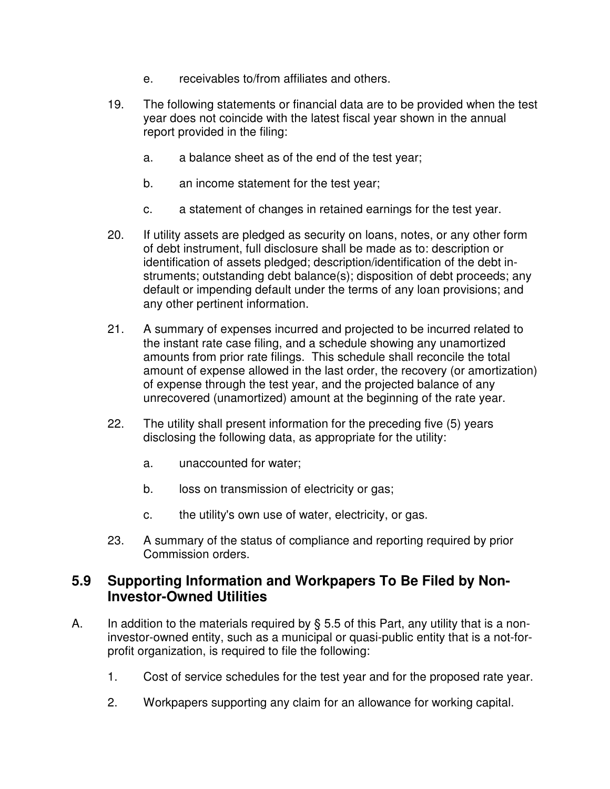- e. receivables to/from affiliates and others.
- 19. The following statements or financial data are to be provided when the test year does not coincide with the latest fiscal year shown in the annual report provided in the filing:
	- a. a balance sheet as of the end of the test year;
	- b. an income statement for the test year;
	- c. a statement of changes in retained earnings for the test year.
- 20. If utility assets are pledged as security on loans, notes, or any other form of debt instrument, full disclosure shall be made as to: description or identification of assets pledged; description/identification of the debt instruments; outstanding debt balance(s); disposition of debt proceeds; any default or impending default under the terms of any loan provisions; and any other pertinent information.
- 21. A summary of expenses incurred and projected to be incurred related to the instant rate case filing, and a schedule showing any unamortized amounts from prior rate filings. This schedule shall reconcile the total amount of expense allowed in the last order, the recovery (or amortization) of expense through the test year, and the projected balance of any unrecovered (unamortized) amount at the beginning of the rate year.
- 22. The utility shall present information for the preceding five (5) years disclosing the following data, as appropriate for the utility:
	- a. unaccounted for water;
	- b. loss on transmission of electricity or gas;
	- c. the utility's own use of water, electricity, or gas.
- 23. A summary of the status of compliance and reporting required by prior Commission orders.

#### **5.9 Supporting Information and Workpapers To Be Filed by Non-Investor-Owned Utilities**

- A. In addition to the materials required by § 5.5 of this Part, any utility that is a noninvestor-owned entity, such as a municipal or quasi-public entity that is a not-forprofit organization, is required to file the following:
	- 1. Cost of service schedules for the test year and for the proposed rate year.
	- 2. Workpapers supporting any claim for an allowance for working capital.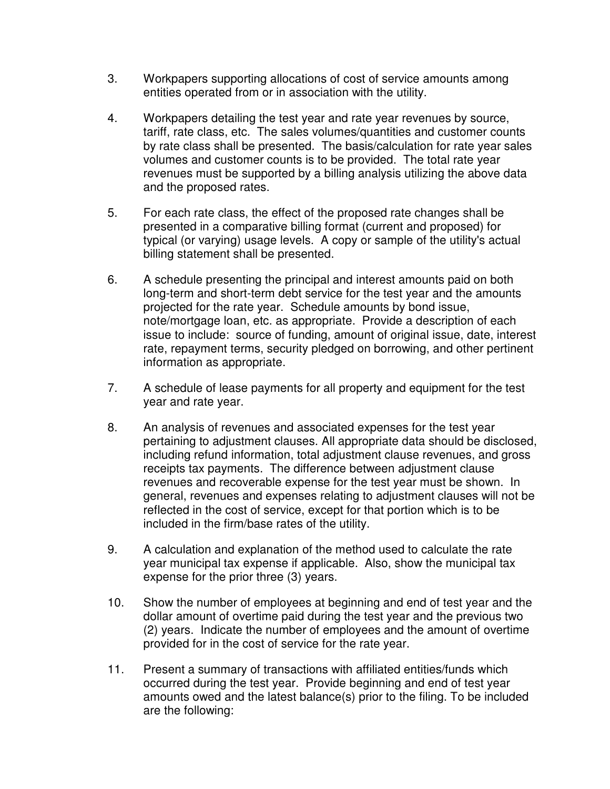- 3. Workpapers supporting allocations of cost of service amounts among entities operated from or in association with the utility.
- 4. Workpapers detailing the test year and rate year revenues by source, tariff, rate class, etc. The sales volumes/quantities and customer counts by rate class shall be presented. The basis/calculation for rate year sales volumes and customer counts is to be provided. The total rate year revenues must be supported by a billing analysis utilizing the above data and the proposed rates.
- 5. For each rate class, the effect of the proposed rate changes shall be presented in a comparative billing format (current and proposed) for typical (or varying) usage levels. A copy or sample of the utility's actual billing statement shall be presented.
- 6. A schedule presenting the principal and interest amounts paid on both long-term and short-term debt service for the test year and the amounts projected for the rate year. Schedule amounts by bond issue, note/mortgage loan, etc. as appropriate. Provide a description of each issue to include: source of funding, amount of original issue, date, interest rate, repayment terms, security pledged on borrowing, and other pertinent information as appropriate.
- 7. A schedule of lease payments for all property and equipment for the test year and rate year.
- 8. An analysis of revenues and associated expenses for the test year pertaining to adjustment clauses. All appropriate data should be disclosed, including refund information, total adjustment clause revenues, and gross receipts tax payments. The difference between adjustment clause revenues and recoverable expense for the test year must be shown. In general, revenues and expenses relating to adjustment clauses will not be reflected in the cost of service, except for that portion which is to be included in the firm/base rates of the utility.
- 9. A calculation and explanation of the method used to calculate the rate year municipal tax expense if applicable. Also, show the municipal tax expense for the prior three (3) years.
- 10. Show the number of employees at beginning and end of test year and the dollar amount of overtime paid during the test year and the previous two (2) years. Indicate the number of employees and the amount of overtime provided for in the cost of service for the rate year.
- 11. Present a summary of transactions with affiliated entities/funds which occurred during the test year. Provide beginning and end of test year amounts owed and the latest balance(s) prior to the filing. To be included are the following: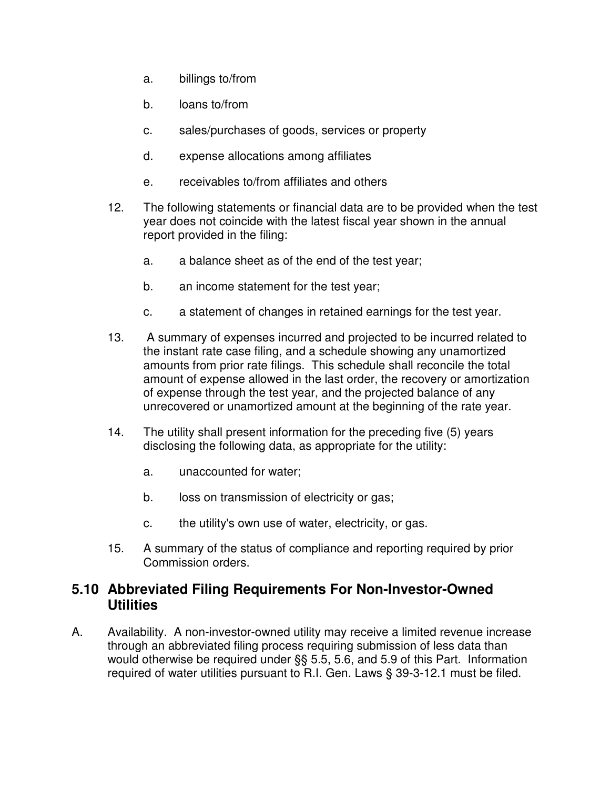- a. billings to/from
- b. loans to/from
- c. sales/purchases of goods, services or property
- d. expense allocations among affiliates
- e. receivables to/from affiliates and others
- 12. The following statements or financial data are to be provided when the test year does not coincide with the latest fiscal year shown in the annual report provided in the filing:
	- a. a balance sheet as of the end of the test year;
	- b. an income statement for the test year;
	- c. a statement of changes in retained earnings for the test year.
- 13. A summary of expenses incurred and projected to be incurred related to the instant rate case filing, and a schedule showing any unamortized amounts from prior rate filings. This schedule shall reconcile the total amount of expense allowed in the last order, the recovery or amortization of expense through the test year, and the projected balance of any unrecovered or unamortized amount at the beginning of the rate year.
- 14. The utility shall present information for the preceding five (5) years disclosing the following data, as appropriate for the utility:
	- a. unaccounted for water;
	- b. loss on transmission of electricity or gas;
	- c. the utility's own use of water, electricity, or gas.
- 15. A summary of the status of compliance and reporting required by prior Commission orders.

#### **5.10 Abbreviated Filing Requirements For Non-Investor-Owned Utilities**

A. Availability. A non-investor-owned utility may receive a limited revenue increase through an abbreviated filing process requiring submission of less data than would otherwise be required under §§ 5.5, 5.6, and 5.9 of this Part. Information required of water utilities pursuant to R.I. Gen. Laws § 39-3-12.1 must be filed.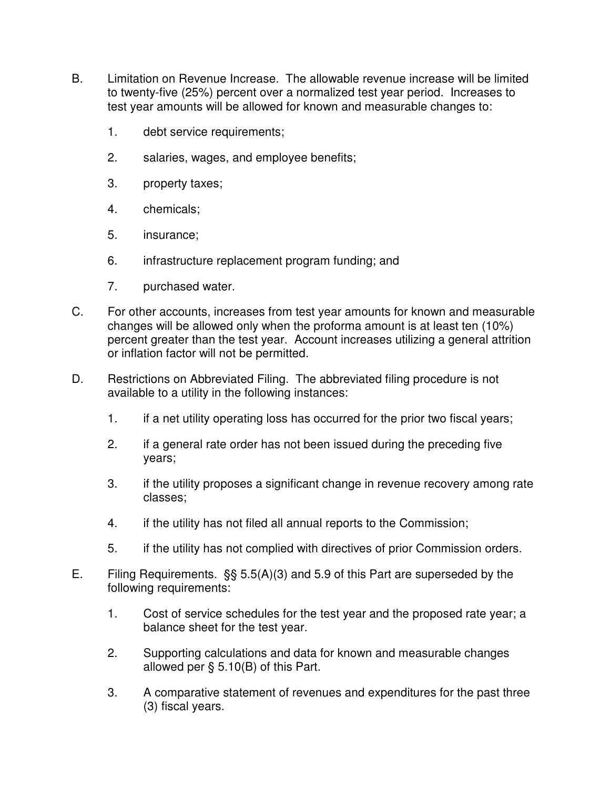- B. Limitation on Revenue Increase. The allowable revenue increase will be limited to twenty-five (25%) percent over a normalized test year period. Increases to test year amounts will be allowed for known and measurable changes to:
	- 1. debt service requirements;
	- 2. salaries, wages, and employee benefits;
	- 3. property taxes;
	- 4. chemicals;
	- 5. insurance;
	- 6. infrastructure replacement program funding; and
	- 7. purchased water.
- C. For other accounts, increases from test year amounts for known and measurable changes will be allowed only when the proforma amount is at least ten (10%) percent greater than the test year. Account increases utilizing a general attrition or inflation factor will not be permitted.
- D. Restrictions on Abbreviated Filing. The abbreviated filing procedure is not available to a utility in the following instances:
	- 1. if a net utility operating loss has occurred for the prior two fiscal years;
	- 2. if a general rate order has not been issued during the preceding five years;
	- 3. if the utility proposes a significant change in revenue recovery among rate classes;
	- 4. if the utility has not filed all annual reports to the Commission;
	- 5. if the utility has not complied with directives of prior Commission orders.
- E. Filing Requirements. §§ 5.5(A)(3) and 5.9 of this Part are superseded by the following requirements:
	- 1. Cost of service schedules for the test year and the proposed rate year; a balance sheet for the test year.
	- 2. Supporting calculations and data for known and measurable changes allowed per § 5.10(B) of this Part.
	- 3. A comparative statement of revenues and expenditures for the past three (3) fiscal years.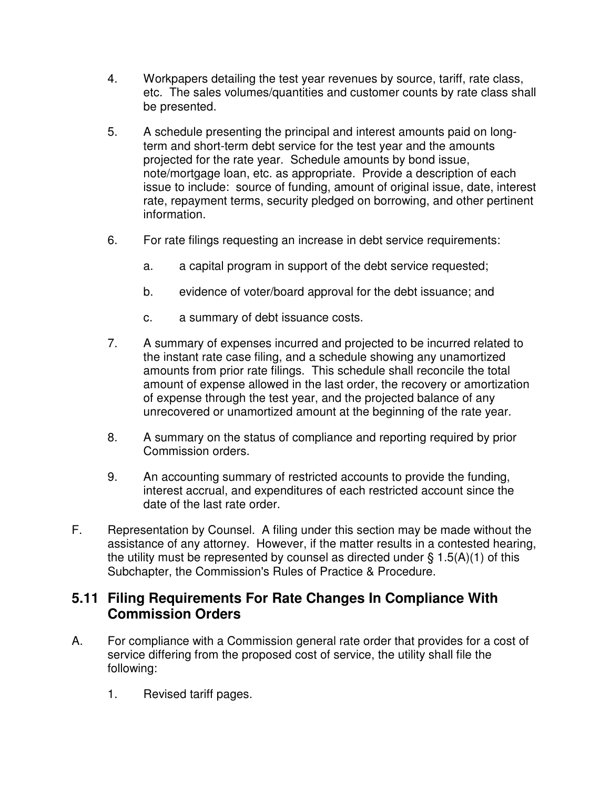- 4. Workpapers detailing the test year revenues by source, tariff, rate class, etc. The sales volumes/quantities and customer counts by rate class shall be presented.
- 5. A schedule presenting the principal and interest amounts paid on longterm and short-term debt service for the test year and the amounts projected for the rate year. Schedule amounts by bond issue, note/mortgage loan, etc. as appropriate. Provide a description of each issue to include: source of funding, amount of original issue, date, interest rate, repayment terms, security pledged on borrowing, and other pertinent information.
- 6. For rate filings requesting an increase in debt service requirements:
	- a. a capital program in support of the debt service requested;
	- b. evidence of voter/board approval for the debt issuance; and
	- c. a summary of debt issuance costs.
- 7. A summary of expenses incurred and projected to be incurred related to the instant rate case filing, and a schedule showing any unamortized amounts from prior rate filings. This schedule shall reconcile the total amount of expense allowed in the last order, the recovery or amortization of expense through the test year, and the projected balance of any unrecovered or unamortized amount at the beginning of the rate year.
- 8. A summary on the status of compliance and reporting required by prior Commission orders.
- 9. An accounting summary of restricted accounts to provide the funding, interest accrual, and expenditures of each restricted account since the date of the last rate order.
- F. Representation by Counsel. A filing under this section may be made without the assistance of any attorney. However, if the matter results in a contested hearing, the utility must be represented by counsel as directed under  $\S$  1.5(A)(1) of this Subchapter, the Commission's Rules of Practice & Procedure.

# **5.11 Filing Requirements For Rate Changes In Compliance With Commission Orders**

- A. For compliance with a Commission general rate order that provides for a cost of service differing from the proposed cost of service, the utility shall file the following:
	- 1. Revised tariff pages.